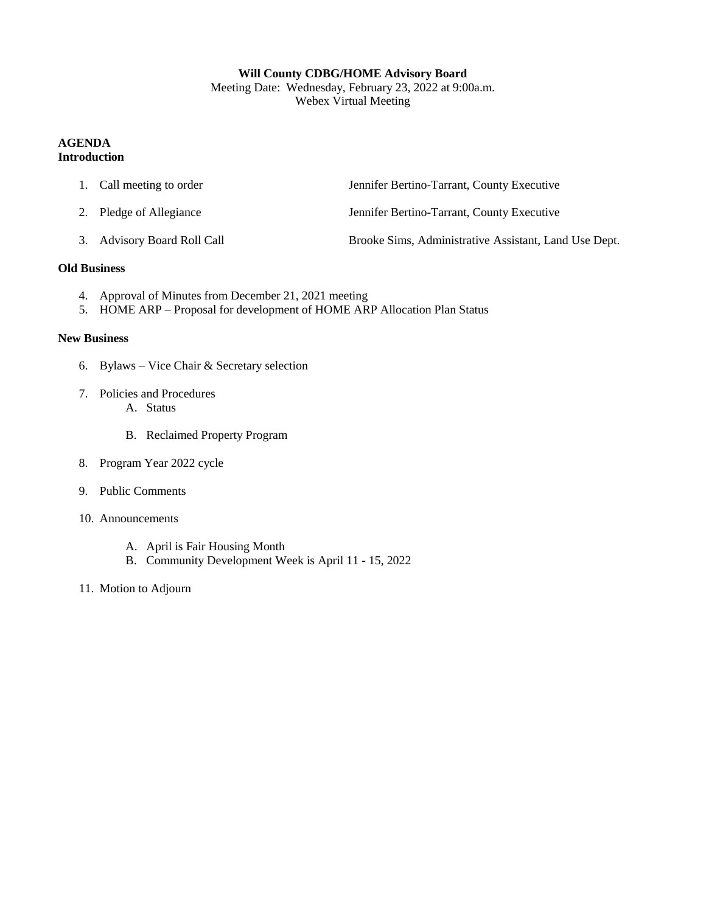#### **Will County CDBG/HOME Advisory Board**

Meeting Date: Wednesday, February 23, 2022 at 9:00a.m. Webex Virtual Meeting

#### **AGENDA Introduction**

| 1. Call meeting to order    | Jennifer Bertino-Tarrant, County Executive            |
|-----------------------------|-------------------------------------------------------|
| 2. Pledge of Allegiance     | Jennifer Bertino-Tarrant, County Executive            |
| 3. Advisory Board Roll Call | Brooke Sims, Administrative Assistant, Land Use Dept. |

#### **Old Business**

- 4. Approval of Minutes from December 21, 2021 meeting
- 5. HOME ARP Proposal for development of HOME ARP Allocation Plan Status

#### **New Business**

- 6. Bylaws Vice Chair & Secretary selection
- 7. Policies and Procedures
	- A. Status
	- B. Reclaimed Property Program
- 8. Program Year 2022 cycle
- 9. Public Comments
- 10. Announcements
	- A. April is Fair Housing Month
	- B. Community Development Week is April 11 15, 2022
- 11. Motion to Adjourn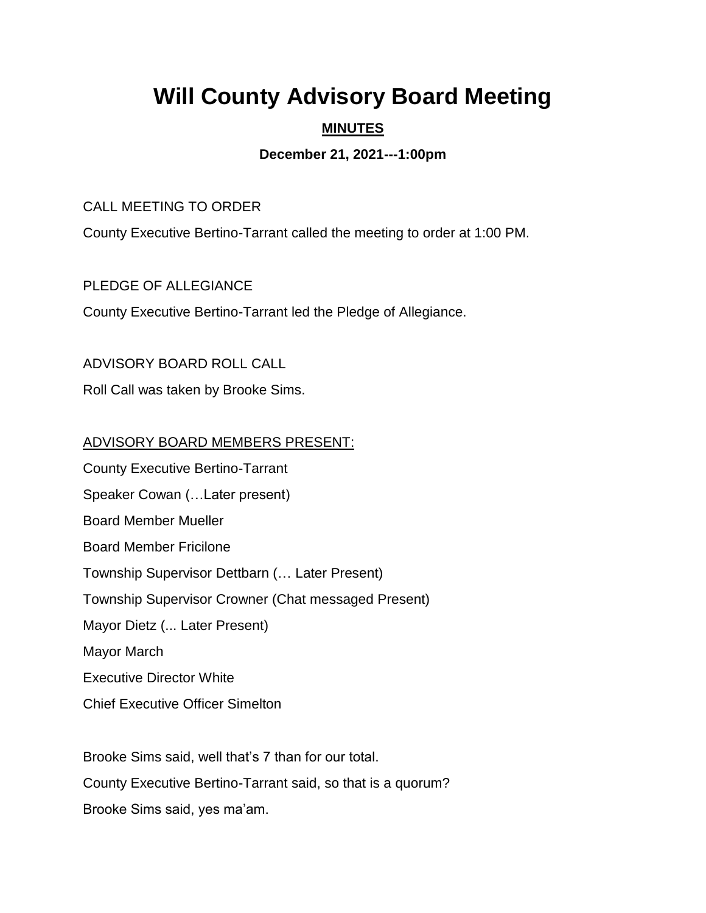# **Will County Advisory Board Meeting**

## **MINUTES**

## **December 21, 2021---1:00pm**

#### CALL MEETING TO ORDER

County Executive Bertino-Tarrant called the meeting to order at 1:00 PM.

#### PLEDGE OF ALLEGIANCE

County Executive Bertino-Tarrant led the Pledge of Allegiance.

## ADVISORY BOARD ROLL CALL

Roll Call was taken by Brooke Sims.

## ADVISORY BOARD MEMBERS PRESENT:

County Executive Bertino-Tarrant Speaker Cowan (…Later present) Board Member Mueller Board Member Fricilone Township Supervisor Dettbarn (… Later Present) Township Supervisor Crowner (Chat messaged Present) Mayor Dietz (... Later Present) Mayor March Executive Director White Chief Executive Officer Simelton

Brooke Sims said, well that's 7 than for our total. County Executive Bertino-Tarrant said, so that is a quorum? Brooke Sims said, yes ma'am.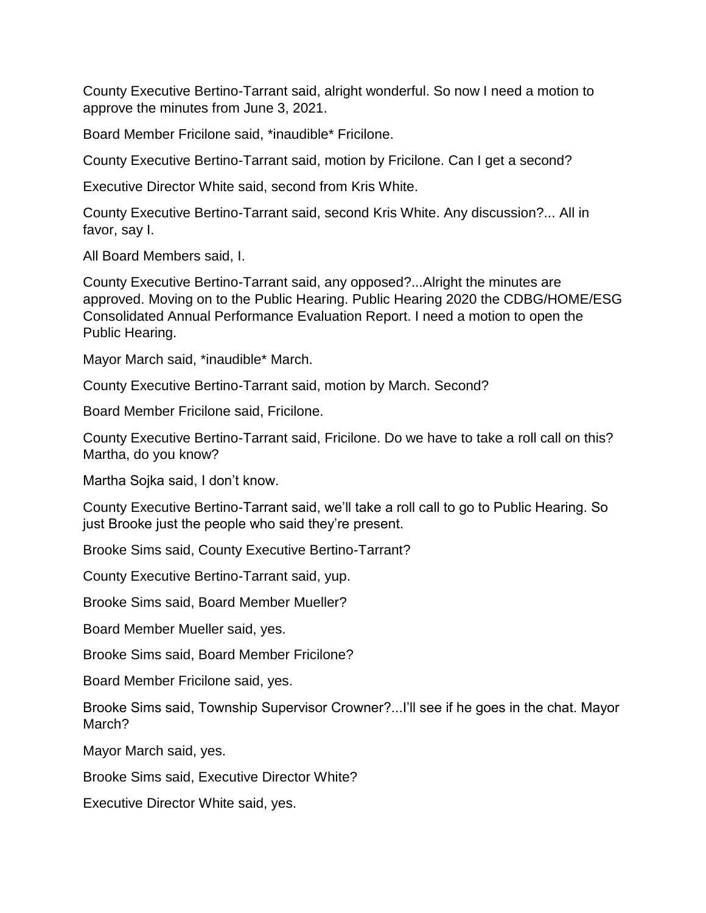County Executive Bertino-Tarrant said, alright wonderful. So now I need a motion to approve the minutes from June 3, 2021.

Board Member Fricilone said, \*inaudible\* Fricilone.

County Executive Bertino-Tarrant said, motion by Fricilone. Can I get a second?

Executive Director White said, second from Kris White.

County Executive Bertino-Tarrant said, second Kris White. Any discussion?... All in favor, say I.

All Board Members said, I.

County Executive Bertino-Tarrant said, any opposed?...Alright the minutes are approved. Moving on to the Public Hearing. Public Hearing 2020 the CDBG/HOME/ESG Consolidated Annual Performance Evaluation Report. I need a motion to open the Public Hearing.

Mayor March said, \*inaudible\* March.

County Executive Bertino-Tarrant said, motion by March. Second?

Board Member Fricilone said, Fricilone.

County Executive Bertino-Tarrant said, Fricilone. Do we have to take a roll call on this? Martha, do you know?

Martha Sojka said, I don't know.

County Executive Bertino-Tarrant said, we'll take a roll call to go to Public Hearing. So just Brooke just the people who said they're present.

Brooke Sims said, County Executive Bertino-Tarrant?

County Executive Bertino-Tarrant said, yup.

Brooke Sims said, Board Member Mueller?

Board Member Mueller said, yes.

Brooke Sims said, Board Member Fricilone?

Board Member Fricilone said, yes.

Brooke Sims said, Township Supervisor Crowner?...I'll see if he goes in the chat. Mayor March?

Mayor March said, yes.

Brooke Sims said, Executive Director White?

Executive Director White said, yes.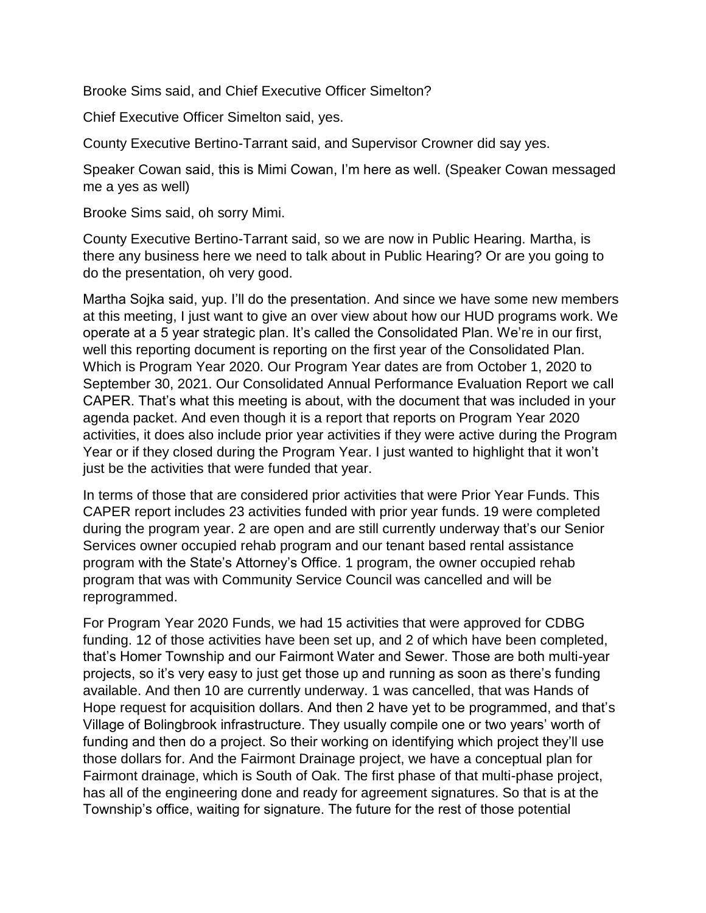Brooke Sims said, and Chief Executive Officer Simelton?

Chief Executive Officer Simelton said, yes.

County Executive Bertino-Tarrant said, and Supervisor Crowner did say yes.

Speaker Cowan said, this is Mimi Cowan, I'm here as well. (Speaker Cowan messaged me a yes as well)

Brooke Sims said, oh sorry Mimi.

County Executive Bertino-Tarrant said, so we are now in Public Hearing. Martha, is there any business here we need to talk about in Public Hearing? Or are you going to do the presentation, oh very good.

Martha Sojka said, yup. I'll do the presentation. And since we have some new members at this meeting, I just want to give an over view about how our HUD programs work. We operate at a 5 year strategic plan. It's called the Consolidated Plan. We're in our first, well this reporting document is reporting on the first year of the Consolidated Plan. Which is Program Year 2020. Our Program Year dates are from October 1, 2020 to September 30, 2021. Our Consolidated Annual Performance Evaluation Report we call CAPER. That's what this meeting is about, with the document that was included in your agenda packet. And even though it is a report that reports on Program Year 2020 activities, it does also include prior year activities if they were active during the Program Year or if they closed during the Program Year. I just wanted to highlight that it won't just be the activities that were funded that year.

In terms of those that are considered prior activities that were Prior Year Funds. This CAPER report includes 23 activities funded with prior year funds. 19 were completed during the program year. 2 are open and are still currently underway that's our Senior Services owner occupied rehab program and our tenant based rental assistance program with the State's Attorney's Office. 1 program, the owner occupied rehab program that was with Community Service Council was cancelled and will be reprogrammed.

For Program Year 2020 Funds, we had 15 activities that were approved for CDBG funding. 12 of those activities have been set up, and 2 of which have been completed, that's Homer Township and our Fairmont Water and Sewer. Those are both multi-year projects, so it's very easy to just get those up and running as soon as there's funding available. And then 10 are currently underway. 1 was cancelled, that was Hands of Hope request for acquisition dollars. And then 2 have yet to be programmed, and that's Village of Bolingbrook infrastructure. They usually compile one or two years' worth of funding and then do a project. So their working on identifying which project they'll use those dollars for. And the Fairmont Drainage project, we have a conceptual plan for Fairmont drainage, which is South of Oak. The first phase of that multi-phase project, has all of the engineering done and ready for agreement signatures. So that is at the Township's office, waiting for signature. The future for the rest of those potential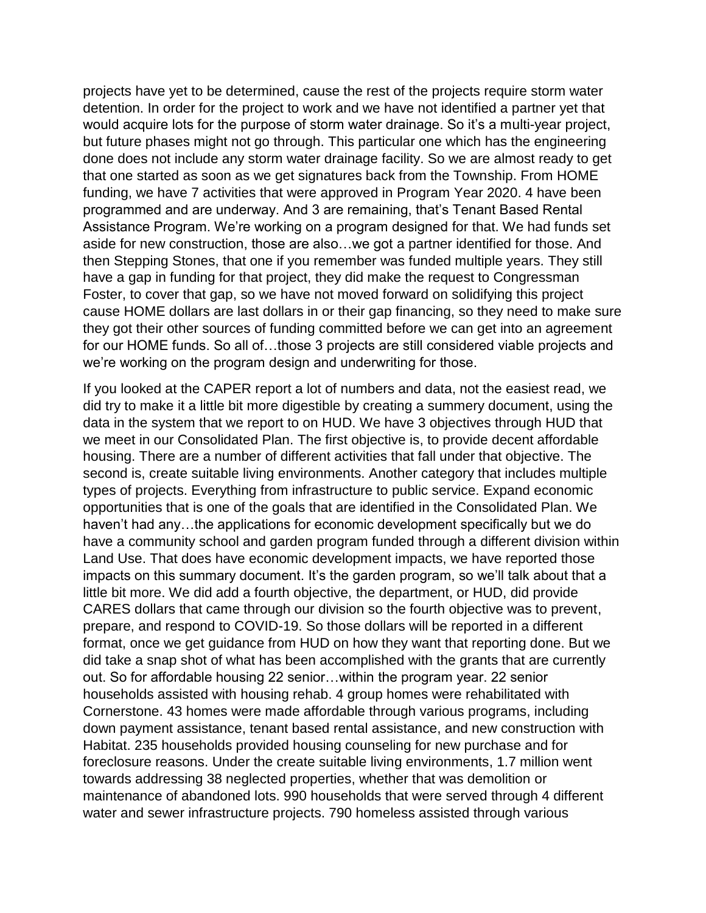projects have yet to be determined, cause the rest of the projects require storm water detention. In order for the project to work and we have not identified a partner yet that would acquire lots for the purpose of storm water drainage. So it's a multi-year project, but future phases might not go through. This particular one which has the engineering done does not include any storm water drainage facility. So we are almost ready to get that one started as soon as we get signatures back from the Township. From HOME funding, we have 7 activities that were approved in Program Year 2020. 4 have been programmed and are underway. And 3 are remaining, that's Tenant Based Rental Assistance Program. We're working on a program designed for that. We had funds set aside for new construction, those are also…we got a partner identified for those. And then Stepping Stones, that one if you remember was funded multiple years. They still have a gap in funding for that project, they did make the request to Congressman Foster, to cover that gap, so we have not moved forward on solidifying this project cause HOME dollars are last dollars in or their gap financing, so they need to make sure they got their other sources of funding committed before we can get into an agreement for our HOME funds. So all of...those 3 projects are still considered viable projects and we're working on the program design and underwriting for those.

If you looked at the CAPER report a lot of numbers and data, not the easiest read, we did try to make it a little bit more digestible by creating a summery document, using the data in the system that we report to on HUD. We have 3 objectives through HUD that we meet in our Consolidated Plan. The first objective is, to provide decent affordable housing. There are a number of different activities that fall under that objective. The second is, create suitable living environments. Another category that includes multiple types of projects. Everything from infrastructure to public service. Expand economic opportunities that is one of the goals that are identified in the Consolidated Plan. We haven't had any…the applications for economic development specifically but we do have a community school and garden program funded through a different division within Land Use. That does have economic development impacts, we have reported those impacts on this summary document. It's the garden program, so we'll talk about that a little bit more. We did add a fourth objective, the department, or HUD, did provide CARES dollars that came through our division so the fourth objective was to prevent, prepare, and respond to COVID-19. So those dollars will be reported in a different format, once we get guidance from HUD on how they want that reporting done. But we did take a snap shot of what has been accomplished with the grants that are currently out. So for affordable housing 22 senior…within the program year. 22 senior households assisted with housing rehab. 4 group homes were rehabilitated with Cornerstone. 43 homes were made affordable through various programs, including down payment assistance, tenant based rental assistance, and new construction with Habitat. 235 households provided housing counseling for new purchase and for foreclosure reasons. Under the create suitable living environments, 1.7 million went towards addressing 38 neglected properties, whether that was demolition or maintenance of abandoned lots. 990 households that were served through 4 different water and sewer infrastructure projects. 790 homeless assisted through various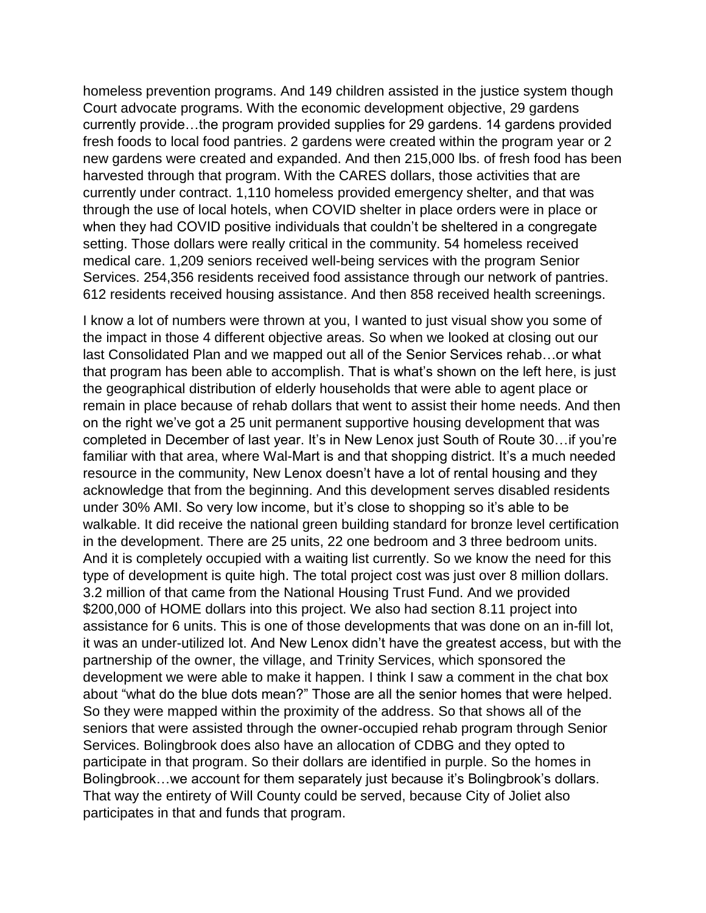homeless prevention programs. And 149 children assisted in the justice system though Court advocate programs. With the economic development objective, 29 gardens currently provide…the program provided supplies for 29 gardens. 14 gardens provided fresh foods to local food pantries. 2 gardens were created within the program year or 2 new gardens were created and expanded. And then 215,000 lbs. of fresh food has been harvested through that program. With the CARES dollars, those activities that are currently under contract. 1,110 homeless provided emergency shelter, and that was through the use of local hotels, when COVID shelter in place orders were in place or when they had COVID positive individuals that couldn't be sheltered in a congregate setting. Those dollars were really critical in the community. 54 homeless received medical care. 1,209 seniors received well-being services with the program Senior Services. 254,356 residents received food assistance through our network of pantries. 612 residents received housing assistance. And then 858 received health screenings.

I know a lot of numbers were thrown at you, I wanted to just visual show you some of the impact in those 4 different objective areas. So when we looked at closing out our last Consolidated Plan and we mapped out all of the Senior Services rehab…or what that program has been able to accomplish. That is what's shown on the left here, is just the geographical distribution of elderly households that were able to agent place or remain in place because of rehab dollars that went to assist their home needs. And then on the right we've got a 25 unit permanent supportive housing development that was completed in December of last year. It's in New Lenox just South of Route 30…if you're familiar with that area, where Wal-Mart is and that shopping district. It's a much needed resource in the community, New Lenox doesn't have a lot of rental housing and they acknowledge that from the beginning. And this development serves disabled residents under 30% AMI. So very low income, but it's close to shopping so it's able to be walkable. It did receive the national green building standard for bronze level certification in the development. There are 25 units, 22 one bedroom and 3 three bedroom units. And it is completely occupied with a waiting list currently. So we know the need for this type of development is quite high. The total project cost was just over 8 million dollars. 3.2 million of that came from the National Housing Trust Fund. And we provided \$200,000 of HOME dollars into this project. We also had section 8.11 project into assistance for 6 units. This is one of those developments that was done on an in-fill lot, it was an under-utilized lot. And New Lenox didn't have the greatest access, but with the partnership of the owner, the village, and Trinity Services, which sponsored the development we were able to make it happen. I think I saw a comment in the chat box about "what do the blue dots mean?" Those are all the senior homes that were helped. So they were mapped within the proximity of the address. So that shows all of the seniors that were assisted through the owner-occupied rehab program through Senior Services. Bolingbrook does also have an allocation of CDBG and they opted to participate in that program. So their dollars are identified in purple. So the homes in Bolingbrook…we account for them separately just because it's Bolingbrook's dollars. That way the entirety of Will County could be served, because City of Joliet also participates in that and funds that program.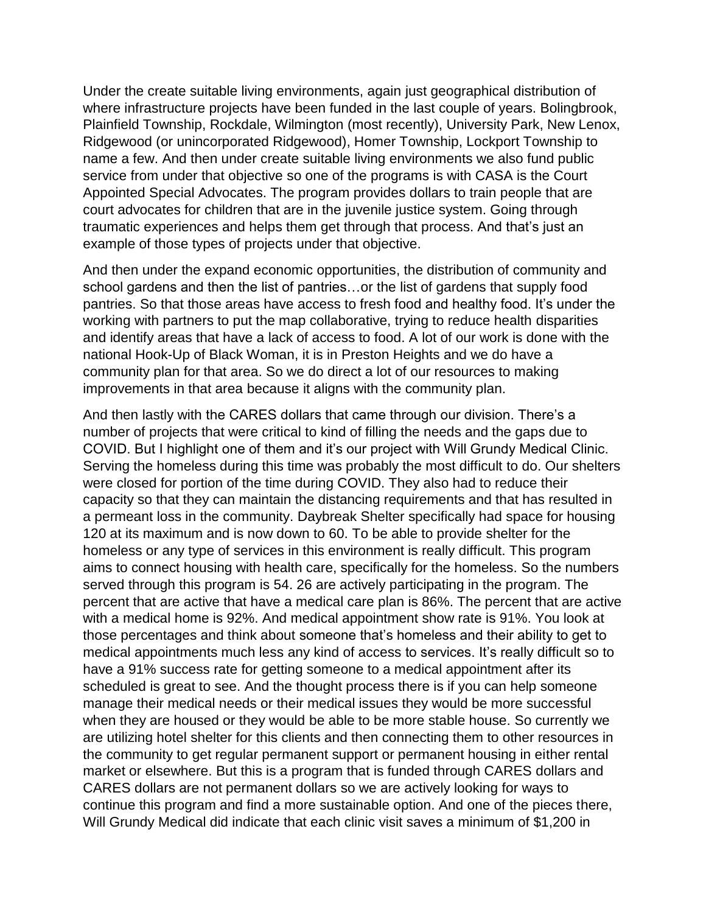Under the create suitable living environments, again just geographical distribution of where infrastructure projects have been funded in the last couple of years. Bolingbrook, Plainfield Township, Rockdale, Wilmington (most recently), University Park, New Lenox, Ridgewood (or unincorporated Ridgewood), Homer Township, Lockport Township to name a few. And then under create suitable living environments we also fund public service from under that objective so one of the programs is with CASA is the Court Appointed Special Advocates. The program provides dollars to train people that are court advocates for children that are in the juvenile justice system. Going through traumatic experiences and helps them get through that process. And that's just an example of those types of projects under that objective.

And then under the expand economic opportunities, the distribution of community and school gardens and then the list of pantries…or the list of gardens that supply food pantries. So that those areas have access to fresh food and healthy food. It's under the working with partners to put the map collaborative, trying to reduce health disparities and identify areas that have a lack of access to food. A lot of our work is done with the national Hook-Up of Black Woman, it is in Preston Heights and we do have a community plan for that area. So we do direct a lot of our resources to making improvements in that area because it aligns with the community plan.

And then lastly with the CARES dollars that came through our division. There's a number of projects that were critical to kind of filling the needs and the gaps due to COVID. But I highlight one of them and it's our project with Will Grundy Medical Clinic. Serving the homeless during this time was probably the most difficult to do. Our shelters were closed for portion of the time during COVID. They also had to reduce their capacity so that they can maintain the distancing requirements and that has resulted in a permeant loss in the community. Daybreak Shelter specifically had space for housing 120 at its maximum and is now down to 60. To be able to provide shelter for the homeless or any type of services in this environment is really difficult. This program aims to connect housing with health care, specifically for the homeless. So the numbers served through this program is 54. 26 are actively participating in the program. The percent that are active that have a medical care plan is 86%. The percent that are active with a medical home is 92%. And medical appointment show rate is 91%. You look at those percentages and think about someone that's homeless and their ability to get to medical appointments much less any kind of access to services. It's really difficult so to have a 91% success rate for getting someone to a medical appointment after its scheduled is great to see. And the thought process there is if you can help someone manage their medical needs or their medical issues they would be more successful when they are housed or they would be able to be more stable house. So currently we are utilizing hotel shelter for this clients and then connecting them to other resources in the community to get regular permanent support or permanent housing in either rental market or elsewhere. But this is a program that is funded through CARES dollars and CARES dollars are not permanent dollars so we are actively looking for ways to continue this program and find a more sustainable option. And one of the pieces there, Will Grundy Medical did indicate that each clinic visit saves a minimum of \$1,200 in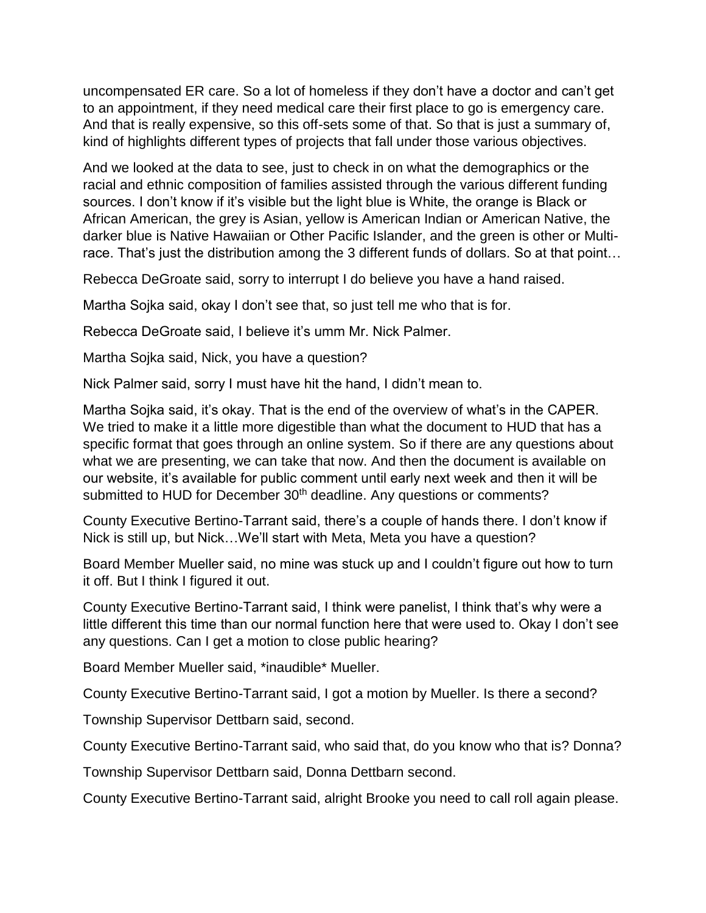uncompensated ER care. So a lot of homeless if they don't have a doctor and can't get to an appointment, if they need medical care their first place to go is emergency care. And that is really expensive, so this off-sets some of that. So that is just a summary of, kind of highlights different types of projects that fall under those various objectives.

And we looked at the data to see, just to check in on what the demographics or the racial and ethnic composition of families assisted through the various different funding sources. I don't know if it's visible but the light blue is White, the orange is Black or African American, the grey is Asian, yellow is American Indian or American Native, the darker blue is Native Hawaiian or Other Pacific Islander, and the green is other or Multirace. That's just the distribution among the 3 different funds of dollars. So at that point…

Rebecca DeGroate said, sorry to interrupt I do believe you have a hand raised.

Martha Sojka said, okay I don't see that, so just tell me who that is for.

Rebecca DeGroate said, I believe it's umm Mr. Nick Palmer.

Martha Sojka said, Nick, you have a question?

Nick Palmer said, sorry I must have hit the hand, I didn't mean to.

Martha Sojka said, it's okay. That is the end of the overview of what's in the CAPER. We tried to make it a little more digestible than what the document to HUD that has a specific format that goes through an online system. So if there are any questions about what we are presenting, we can take that now. And then the document is available on our website, it's available for public comment until early next week and then it will be submitted to HUD for December 30<sup>th</sup> deadline. Any questions or comments?

County Executive Bertino-Tarrant said, there's a couple of hands there. I don't know if Nick is still up, but Nick…We'll start with Meta, Meta you have a question?

Board Member Mueller said, no mine was stuck up and I couldn't figure out how to turn it off. But I think I figured it out.

County Executive Bertino-Tarrant said, I think were panelist, I think that's why were a little different this time than our normal function here that were used to. Okay I don't see any questions. Can I get a motion to close public hearing?

Board Member Mueller said, \*inaudible\* Mueller.

County Executive Bertino-Tarrant said, I got a motion by Mueller. Is there a second?

Township Supervisor Dettbarn said, second.

County Executive Bertino-Tarrant said, who said that, do you know who that is? Donna?

Township Supervisor Dettbarn said, Donna Dettbarn second.

County Executive Bertino-Tarrant said, alright Brooke you need to call roll again please.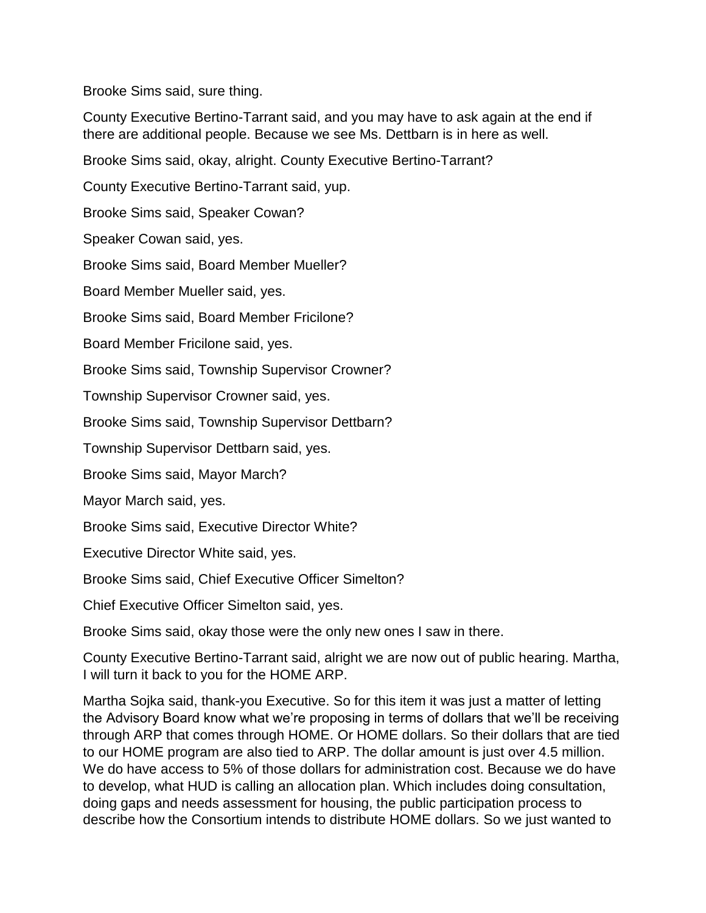Brooke Sims said, sure thing.

County Executive Bertino-Tarrant said, and you may have to ask again at the end if there are additional people. Because we see Ms. Dettbarn is in here as well.

Brooke Sims said, okay, alright. County Executive Bertino-Tarrant?

County Executive Bertino-Tarrant said, yup.

Brooke Sims said, Speaker Cowan?

Speaker Cowan said, yes.

Brooke Sims said, Board Member Mueller?

Board Member Mueller said, yes.

Brooke Sims said, Board Member Fricilone?

Board Member Fricilone said, yes.

Brooke Sims said, Township Supervisor Crowner?

Township Supervisor Crowner said, yes.

Brooke Sims said, Township Supervisor Dettbarn?

Township Supervisor Dettbarn said, yes.

Brooke Sims said, Mayor March?

Mayor March said, yes.

Brooke Sims said, Executive Director White?

Executive Director White said, yes.

Brooke Sims said, Chief Executive Officer Simelton?

Chief Executive Officer Simelton said, yes.

Brooke Sims said, okay those were the only new ones I saw in there.

County Executive Bertino-Tarrant said, alright we are now out of public hearing. Martha, I will turn it back to you for the HOME ARP.

Martha Sojka said, thank-you Executive. So for this item it was just a matter of letting the Advisory Board know what we're proposing in terms of dollars that we'll be receiving through ARP that comes through HOME. Or HOME dollars. So their dollars that are tied to our HOME program are also tied to ARP. The dollar amount is just over 4.5 million. We do have access to 5% of those dollars for administration cost. Because we do have to develop, what HUD is calling an allocation plan. Which includes doing consultation, doing gaps and needs assessment for housing, the public participation process to describe how the Consortium intends to distribute HOME dollars. So we just wanted to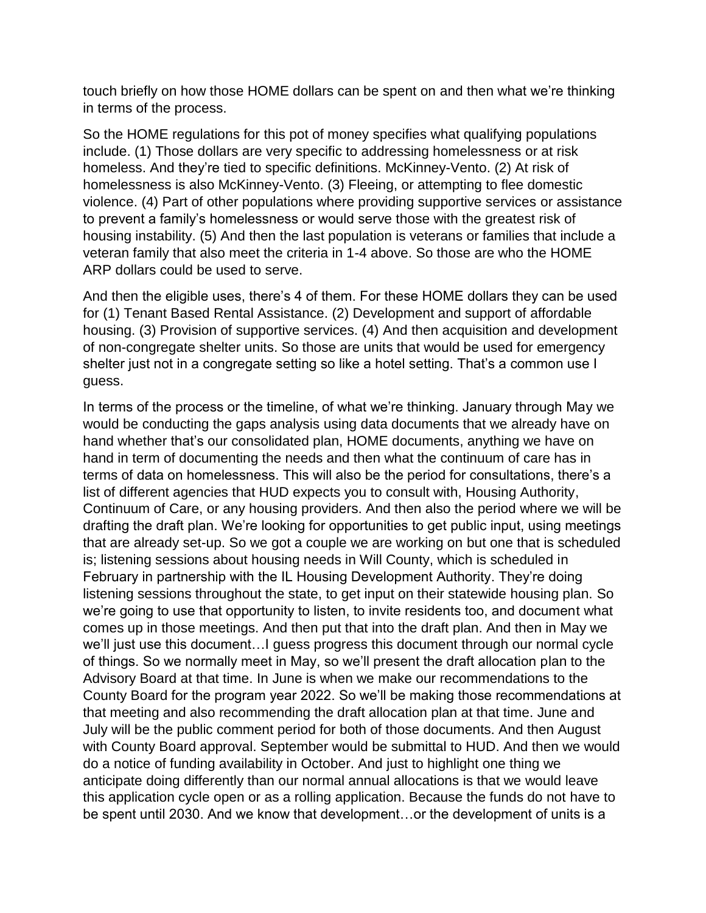touch briefly on how those HOME dollars can be spent on and then what we're thinking in terms of the process.

So the HOME regulations for this pot of money specifies what qualifying populations include. (1) Those dollars are very specific to addressing homelessness or at risk homeless. And they're tied to specific definitions. McKinney-Vento. (2) At risk of homelessness is also McKinney-Vento. (3) Fleeing, or attempting to flee domestic violence. (4) Part of other populations where providing supportive services or assistance to prevent a family's homelessness or would serve those with the greatest risk of housing instability. (5) And then the last population is veterans or families that include a veteran family that also meet the criteria in 1-4 above. So those are who the HOME ARP dollars could be used to serve.

And then the eligible uses, there's 4 of them. For these HOME dollars they can be used for (1) Tenant Based Rental Assistance. (2) Development and support of affordable housing. (3) Provision of supportive services. (4) And then acquisition and development of non-congregate shelter units. So those are units that would be used for emergency shelter just not in a congregate setting so like a hotel setting. That's a common use I guess.

In terms of the process or the timeline, of what we're thinking. January through May we would be conducting the gaps analysis using data documents that we already have on hand whether that's our consolidated plan, HOME documents, anything we have on hand in term of documenting the needs and then what the continuum of care has in terms of data on homelessness. This will also be the period for consultations, there's a list of different agencies that HUD expects you to consult with, Housing Authority, Continuum of Care, or any housing providers. And then also the period where we will be drafting the draft plan. We're looking for opportunities to get public input, using meetings that are already set-up. So we got a couple we are working on but one that is scheduled is; listening sessions about housing needs in Will County, which is scheduled in February in partnership with the IL Housing Development Authority. They're doing listening sessions throughout the state, to get input on their statewide housing plan. So we're going to use that opportunity to listen, to invite residents too, and document what comes up in those meetings. And then put that into the draft plan. And then in May we we'll just use this document…I guess progress this document through our normal cycle of things. So we normally meet in May, so we'll present the draft allocation plan to the Advisory Board at that time. In June is when we make our recommendations to the County Board for the program year 2022. So we'll be making those recommendations at that meeting and also recommending the draft allocation plan at that time. June and July will be the public comment period for both of those documents. And then August with County Board approval. September would be submittal to HUD. And then we would do a notice of funding availability in October. And just to highlight one thing we anticipate doing differently than our normal annual allocations is that we would leave this application cycle open or as a rolling application. Because the funds do not have to be spent until 2030. And we know that development…or the development of units is a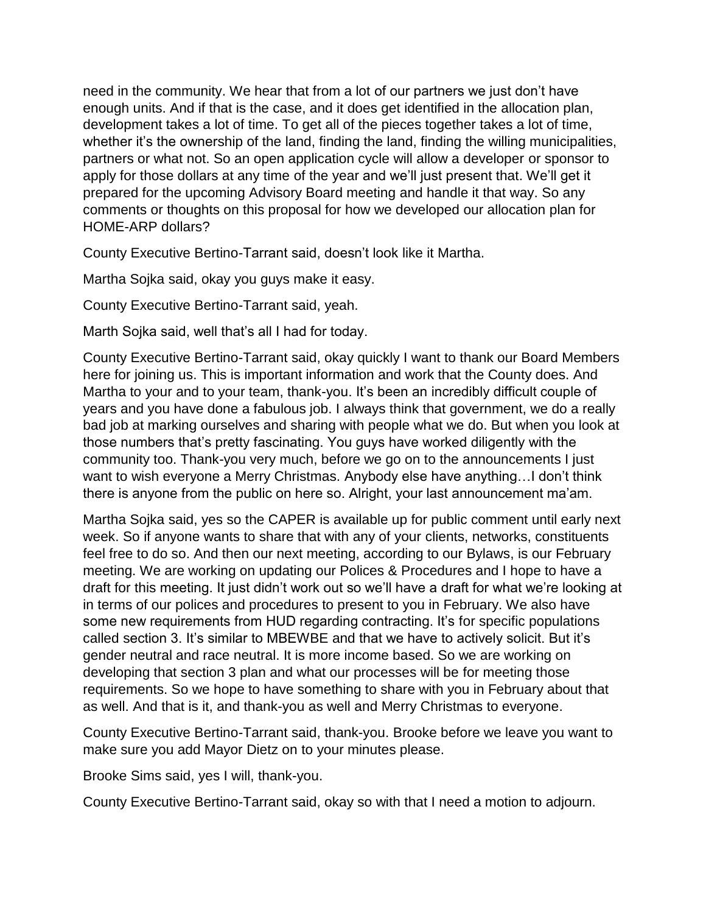need in the community. We hear that from a lot of our partners we just don't have enough units. And if that is the case, and it does get identified in the allocation plan, development takes a lot of time. To get all of the pieces together takes a lot of time, whether it's the ownership of the land, finding the land, finding the willing municipalities, partners or what not. So an open application cycle will allow a developer or sponsor to apply for those dollars at any time of the year and we'll just present that. We'll get it prepared for the upcoming Advisory Board meeting and handle it that way. So any comments or thoughts on this proposal for how we developed our allocation plan for HOME-ARP dollars?

County Executive Bertino-Tarrant said, doesn't look like it Martha.

Martha Sojka said, okay you guys make it easy.

County Executive Bertino-Tarrant said, yeah.

Marth Sojka said, well that's all I had for today.

County Executive Bertino-Tarrant said, okay quickly I want to thank our Board Members here for joining us. This is important information and work that the County does. And Martha to your and to your team, thank-you. It's been an incredibly difficult couple of years and you have done a fabulous job. I always think that government, we do a really bad job at marking ourselves and sharing with people what we do. But when you look at those numbers that's pretty fascinating. You guys have worked diligently with the community too. Thank-you very much, before we go on to the announcements I just want to wish everyone a Merry Christmas. Anybody else have anything... I don't think there is anyone from the public on here so. Alright, your last announcement ma'am.

Martha Sojka said, yes so the CAPER is available up for public comment until early next week. So if anyone wants to share that with any of your clients, networks, constituents feel free to do so. And then our next meeting, according to our Bylaws, is our February meeting. We are working on updating our Polices & Procedures and I hope to have a draft for this meeting. It just didn't work out so we'll have a draft for what we're looking at in terms of our polices and procedures to present to you in February. We also have some new requirements from HUD regarding contracting. It's for specific populations called section 3. It's similar to MBEWBE and that we have to actively solicit. But it's gender neutral and race neutral. It is more income based. So we are working on developing that section 3 plan and what our processes will be for meeting those requirements. So we hope to have something to share with you in February about that as well. And that is it, and thank-you as well and Merry Christmas to everyone.

County Executive Bertino-Tarrant said, thank-you. Brooke before we leave you want to make sure you add Mayor Dietz on to your minutes please.

Brooke Sims said, yes I will, thank-you.

County Executive Bertino-Tarrant said, okay so with that I need a motion to adjourn.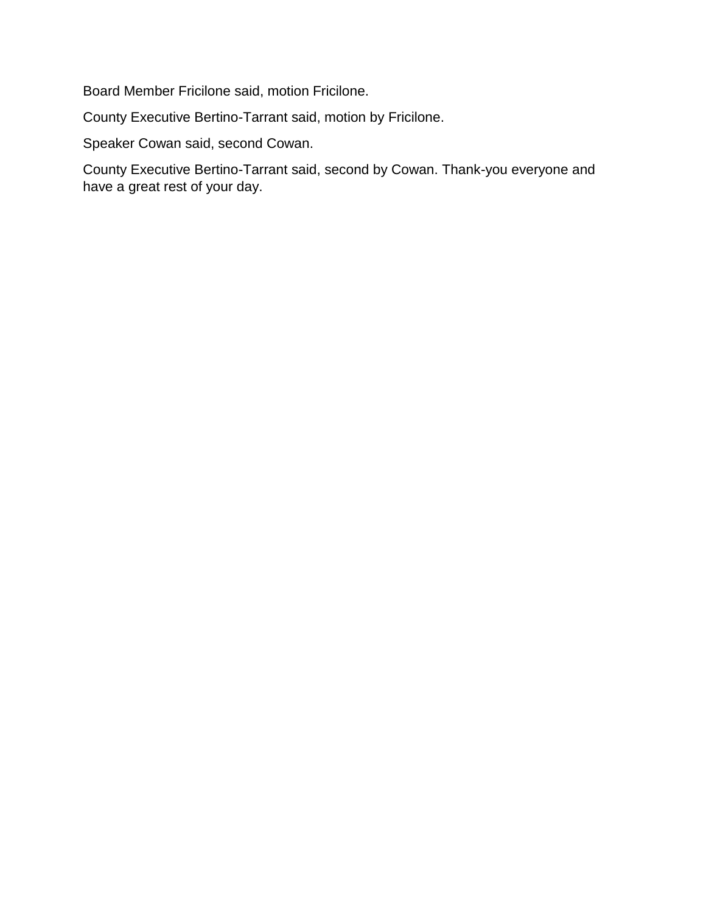Board Member Fricilone said, motion Fricilone.

County Executive Bertino-Tarrant said, motion by Fricilone.

Speaker Cowan said, second Cowan.

County Executive Bertino-Tarrant said, second by Cowan. Thank-you everyone and have a great rest of your day.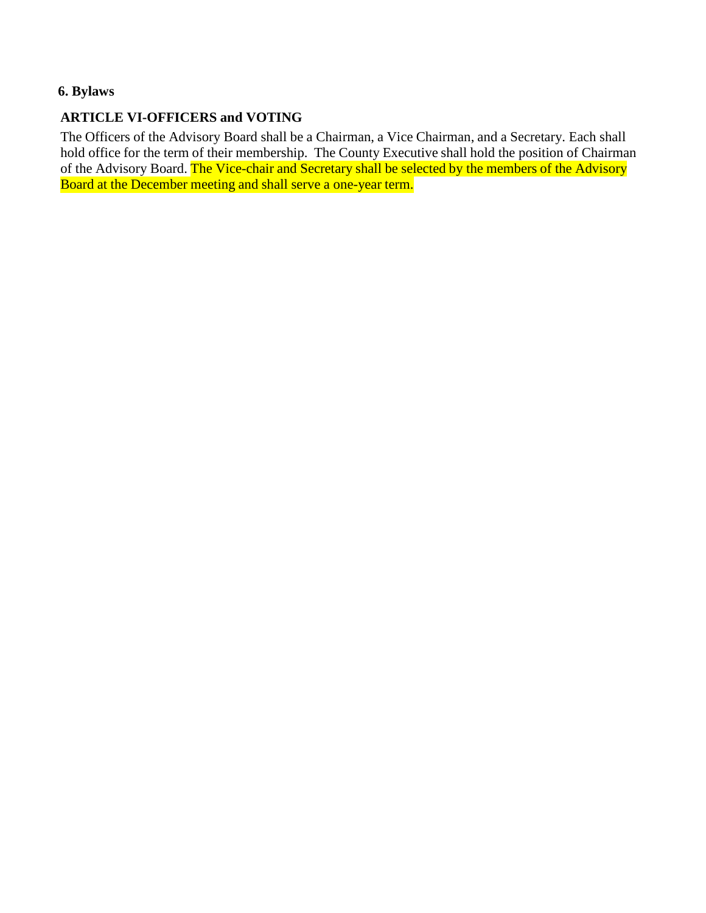## **6. Bylaws**

## **ARTICLE VI-OFFICERS and VOTING**

The Officers of the Advisory Board shall be a Chairman, a Vice Chairman, and a Secretary. Each shall hold office for the term of their membership. The County Executive shall hold the position of Chairman of the Advisory Board. The Vice-chair and Secretary shall be selected by the members of the Advisory Board at the December meeting and shall serve a one-year term.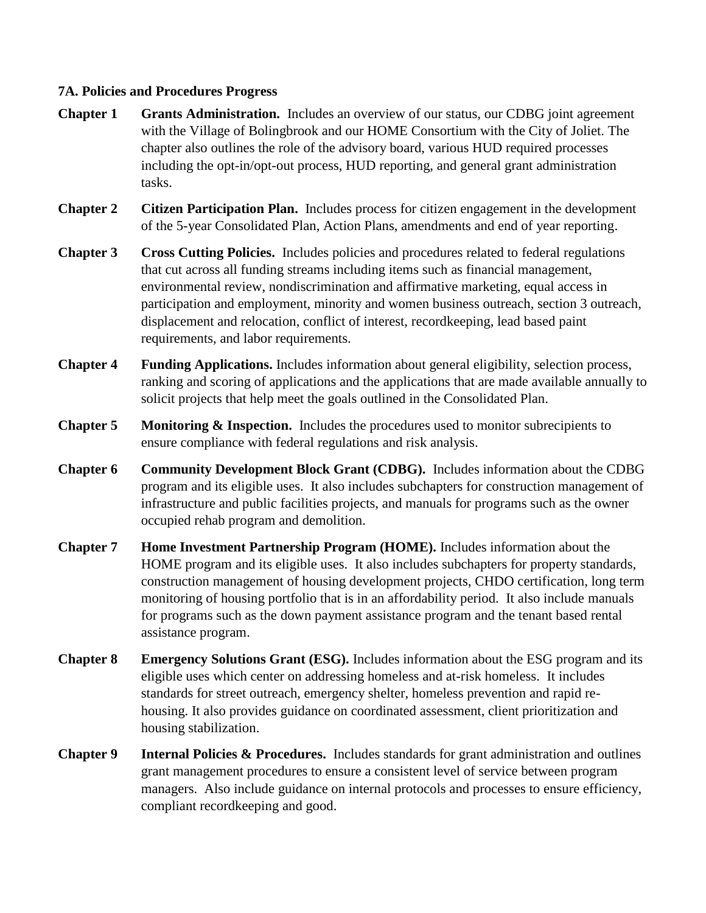#### **7A. Policies and Procedures Progress**

- **Chapter 1 Grants Administration.** Includes an overview of our status, our CDBG joint agreement with the Village of Bolingbrook and our HOME Consortium with the City of Joliet. The chapter also outlines the role of the advisory board, various HUD required processes including the opt-in/opt-out process, HUD reporting, and general grant administration tasks.
- **Chapter 2 Citizen Participation Plan.** Includes process for citizen engagement in the development of the 5-year Consolidated Plan, Action Plans, amendments and end of year reporting.
- **Chapter 3 Cross Cutting Policies.** Includes policies and procedures related to federal regulations that cut across all funding streams including items such as financial management, environmental review, nondiscrimination and affirmative marketing, equal access in participation and employment, minority and women business outreach, section 3 outreach, displacement and relocation, conflict of interest, recordkeeping, lead based paint requirements, and labor requirements.
- **Chapter 4 Funding Applications.** Includes information about general eligibility, selection process, ranking and scoring of applications and the applications that are made available annually to solicit projects that help meet the goals outlined in the Consolidated Plan.
- **Chapter 5 Monitoring & Inspection.** Includes the procedures used to monitor subrecipients to ensure compliance with federal regulations and risk analysis.
- **Chapter 6 Community Development Block Grant (CDBG).** Includes information about the CDBG program and its eligible uses. It also includes subchapters for construction management of infrastructure and public facilities projects, and manuals for programs such as the owner occupied rehab program and demolition.
- **Chapter 7 Home Investment Partnership Program (HOME).** Includes information about the HOME program and its eligible uses. It also includes subchapters for property standards, construction management of housing development projects, CHDO certification, long term monitoring of housing portfolio that is in an affordability period. It also include manuals for programs such as the down payment assistance program and the tenant based rental assistance program.
- **Chapter 8 Emergency Solutions Grant (ESG).** Includes information about the ESG program and its eligible uses which center on addressing homeless and at-risk homeless. It includes standards for street outreach, emergency shelter, homeless prevention and rapid rehousing. It also provides guidance on coordinated assessment, client prioritization and housing stabilization.
- **Chapter 9 Internal Policies & Procedures.** Includes standards for grant administration and outlines grant management procedures to ensure a consistent level of service between program managers. Also include guidance on internal protocols and processes to ensure efficiency, compliant recordkeeping and good.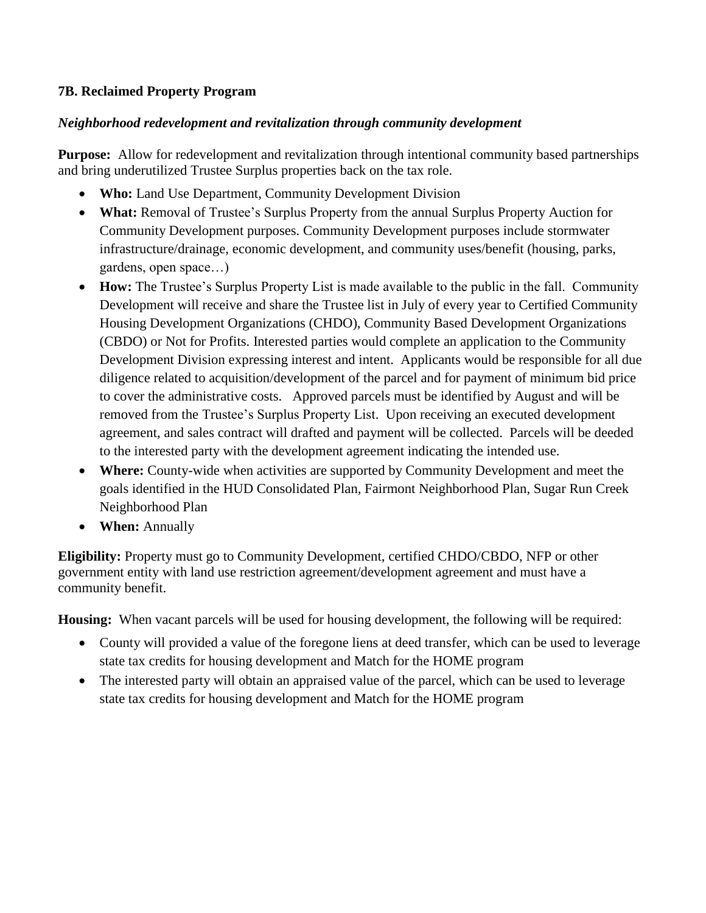#### **7B. Reclaimed Property Program**

#### *Neighborhood redevelopment and revitalization through community development*

**Purpose:** Allow for redevelopment and revitalization through intentional community based partnerships and bring underutilized Trustee Surplus properties back on the tax role.

- **Who:** Land Use Department, Community Development Division
- **What:** Removal of Trustee's Surplus Property from the annual Surplus Property Auction for Community Development purposes. Community Development purposes include stormwater infrastructure/drainage, economic development, and community uses/benefit (housing, parks, gardens, open space…)
- **How:** The Trustee's Surplus Property List is made available to the public in the fall. Community Development will receive and share the Trustee list in July of every year to Certified Community Housing Development Organizations (CHDO), Community Based Development Organizations (CBDO) or Not for Profits. Interested parties would complete an application to the Community Development Division expressing interest and intent. Applicants would be responsible for all due diligence related to acquisition/development of the parcel and for payment of minimum bid price to cover the administrative costs. Approved parcels must be identified by August and will be removed from the Trustee's Surplus Property List. Upon receiving an executed development agreement, and sales contract will drafted and payment will be collected. Parcels will be deeded to the interested party with the development agreement indicating the intended use.
- **Where:** County-wide when activities are supported by Community Development and meet the goals identified in the HUD Consolidated Plan, Fairmont Neighborhood Plan, Sugar Run Creek Neighborhood Plan
- **When:** Annually

**Eligibility:** Property must go to Community Development, certified CHDO/CBDO, NFP or other government entity with land use restriction agreement/development agreement and must have a community benefit.

**Housing:** When vacant parcels will be used for housing development, the following will be required:

- County will provided a value of the foregone liens at deed transfer, which can be used to leverage state tax credits for housing development and Match for the HOME program
- The interested party will obtain an appraised value of the parcel, which can be used to leverage state tax credits for housing development and Match for the HOME program